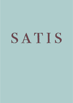# SATIS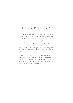#### INTRODUCTION

SATIS (from the Latin for 'enough') was born from the notion that shock factor may not be the most effective tactic to encourage conversation about a series of women's rights. Due to an interest in creating conceptual photographs, Caterina Lombardi took inspiration from vanitas still life paintings, hoping they would pique the audience's interest and in doing so, educate them.

In the spirit of this, Caterina felt it appropriate to give the project and each image a Latin title, as Latin is a language used universally throughout academia, which she hopes will remove any association to specific cultures.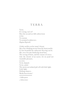#### TERRA

Terra. It's wrong, isn't it? How the second sex falls subservient to law. To custom. To assumed weaknesses. *Regina Reprobi*. 1

A baby suckles on her mum's breast like a bee drinking nectar from the honeysuckle. O, how beautiful the embryonic blessing can be. *But*, trees become hindering metal bars. The sewing of fruits, and the erasure of voices. Like the closure of an oyster, for no pearl nor insatiable pleasure, to exist. To be shamed. To be exiled. The uterus an isolated jail cell with little light. Little light. Drifting chances. Media Inservienta.<sup>2</sup>

1 *Fallen queen*

2 *Subservience*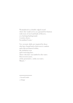Womanhood is a double-edged sword where the womb serves as a ground for fruition with roots of steel and buds of flowers, or a fucking battleground. A stolen choice. Secundum Genus.<sup>1</sup>

Yet, tectonic shifts are inspired by those who have found both a bittersweet comfort and a blessed hatred within, the turbulent seas and restricting laws. Those who have succumbed to the water. Discovered a taste, of the penetrative, sickly sea water, Mutare.<sup>2</sup>

<sup>1</sup> *Second Gender*

<sup>2</sup> *Change*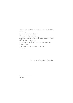Hawks are awoken amongst the soft soil of the riverbed, as Terra calls for a plebiscite. Doves arise from the ashes, an adolescent stains her underwear with the blood of fetal comprehension. As red as the seeds of the sweet pomegranate. A tonal shift. The blood of a newfound intolerance. Vincere.<sup>1</sup>

Written by Margarita Epiphaniou

1 *Conquer*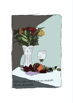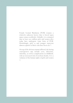Female Genital Mutilation (FGM) remains a relatively unknown horror that is forced upon many women worldwide. Globally, it is estimated that at least 200 million girls and women alive today have undergone some form of FGM. Disturbingly, girls 14 and younger represent almost a quarter of those who have been cut [1].

On top of the obvious trauma inflicted, the lasting consequences may include cysts, infections, infertility, as well as complications in childbirth, with an increased risk of newborn deaths. It is a violation of the human rights of girls and women [1].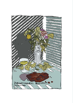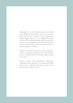Chhaupadi is a socioreligious practise stemming from Hinduism that affects 95 percent of girls and women in far - and mid - western regions of Nepal, despite the fact it's been banned for nearly a decade. When menstruating, a girl is considered impure, and is banished to a poorly built hut. She becomes untouchable, and is not allowed to go to school, bathe or worship [2].

Thanks to freezing conditions and poor hygiene, women including young girls have died in these huts. It's believed dozens of women suffer and die every year [3].

Women suffer from pneumonia, diarrhoea, suffocation and respiratory tract infections while they are in seclusion, and most rural women cannot affort sanitary items [3].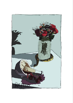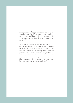Approximately, 85,000 women are raped every year, in England and Wales alone [4]. Around 120 million girls worldwide (slightly more than 1 in 10) have experienced forced intercourse or sexual  $\sqrt{3}$ ssault [5].

Sadly, by far the most common perpetraors of sexual violence against girls are current or former husbands, partners or boyfriends [5]. Women who have been physically or sexually abused by their partners are more than twice as likely to have an abortion, almost twice as likely to experience depression, and in some regions, 1.5 times more likely to acquire HIV, as compared to women who have not experienced partner violence [5].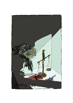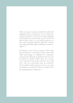There are many countries around the world with antiquated laws on abortion, one of which lies within our borders. Every day 12 women and girls from Ireland have an abortion; 9 travel to the UK and at least 3 risk a 14 year prison sentence to take safe but illegal abortion pills.This violates international human rights standards on women's right's [6].

El Salvador is one of a few countries with a total ban on abortion. A side-effect is that women who suffer miscarriages or stillbirths are sometimes suspected of inducing an abortion and can even be jailed for murder. More than 200 women were reported to the police between 2000 and 2011: 129 were prosecuted and 49 convicted, 26 for murder (with sentences of 12 to 35 years) according to research by Citizens' Group for the Decriminalization of Abortion [7].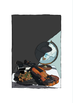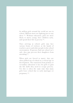62 million girls around the world are not in school. Millions more are fighting just to stay there [9]. Without education, girls are more likely to marry young, have children early, and spend their life in poverty [9].

Once arriving at school, girls may face various forms of violence at the hands of teachers, peers and other people in the school environment. If parents find out school isn't safe, they may prevent their daughters from attending [9].

When girls are forced to marry, they are often pulled out of school at a critical age in development. The transition from primary to secondary education is key for girls to gain the life skills they need to escape poverty. Yet this is often the same time that many girls leave school due to early marriages or pregnancy [9].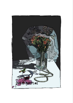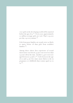1 in 7 girls in the developing world will be married before the age of  $15^{8}$ . Every year, approximately 10 million teenage girls are wed. That's 25,000 per day, 19 every minute [8].

Girls from poor families are nearly twice as likely to marry before 18 than girls from wealthier families [8].

Among those whose first experience of sexual intercourse was forced, 31 per cent were less than 15 years old at the time. Another 14 per cent were aged between 15 and 17 $[8]$ . Girls between the age of 10 and 14 are five times more likely to die in pregnancy or childbirth than women aged 20 to  $24^{[8]}$ .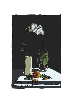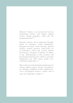Obstetric Violence is an intersection between institutional violence and violence against women, during pregnancy, birth and the postpartum period [10].

Obstetric violence can be manifested through: denial of treatment, verbal humiliations, disregard of woman's needs and pain, physical violence, invasive practices, unnecessary use of medication, forced and coerced medical interventions, detention in facilities for failure to pay, dehumanising or rude treatment and discrimination based on race, ethnic or economic background, age, HIV status, gender nonconformity among others [10].

This is often an overlooked and normalised type of violence against women: extreme consequences are inhumane childbirth, health complications, severe psychological distress, trauma, and in some cases death due to neglect [10].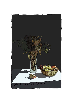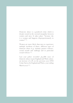Domestic abuse is a gendered crime which is deeply rooted in the societal inequality between women and men. It takes place "because she is a woman and happens disproportionately to women" [11].

Women are more likely than men to experience multiple incidents of abuse, different types of domestic abuse (e.g. intimate partner violence, sexual assault and stalking) and in particular sexual violence [11].

Last year police recorded 464,886 cases of domestic abuse in just England and Wales alone: an increase of 10% on the previous year (ONS Crime Survey for England and Wales, year ending March  $2017$ <sup>[12]</sup>.

.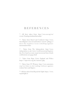### **REFERENCES**

[1] - All facts taken from: http://www.un.org/en/ events/femalegenitalmutilationday/

[2] - Taken from Dazed and Confused: http://www. dazeddigital.com/artsandculture/article/36699/1/ meet-the-nepalese-teens-rebelling-againstmenstruation-huts

[3] - Taken from The Independent: http://www. independent.co.uk/voices/world-menstrual-hygieneday-first-hand-account-nepal-menstrual-huts-deathconfinement-a7752951.html

[4] - Taken from Rape Crisis England and Wales: https://rapecrisis.org.uk/statistics.php

[5] - Taken from UN Women: http://www.unwomen. org/en/what-we-do/ending-violence-againstwomen/facts-and-figures

[6] -All facts taken from Repeal the Eight: https://www. repealeight.ie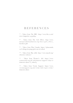### **REFERENCES**

[7] - Taken from The BBC :http://www.bbc.co.uk/ news/magazine-24532694

[8] - Taken from The Girl Effect: http://www. mariposadrfoundation.org/docs/girl\_effect\_ factsheet.pdf

[9] - Taken from Plan Canada: https://plancanada. ca/6-things-keeping-girls-out-of-school

[10] - Taken from May 28th: http://www.may28.org/ obstetric-violence/

[11] - Taken from Women's Aid: https://www. womensaid.org.uk/information-support/what-isdomestic-abuse/#\_ednref3

[12] - Taken from Victim Support: https://www. victimsupport.org.uk/crime-info/types-crime/ domestic-abuse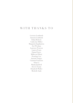## WITH THANKS TO

Lorenzo Lombardi Antonia Lombardi Ethan Roberts Catherine Hillier Margarita Epiphaniou Zoë Wenban Laurence Pearson Lauren Fearn Emma Pearce Millicent Elliott Penelope Lee Antonia Tangye Catarina Fontoura Dinu Li Mandy Jandrell Steven Tynan Elizabeth Waller Michelle Sank